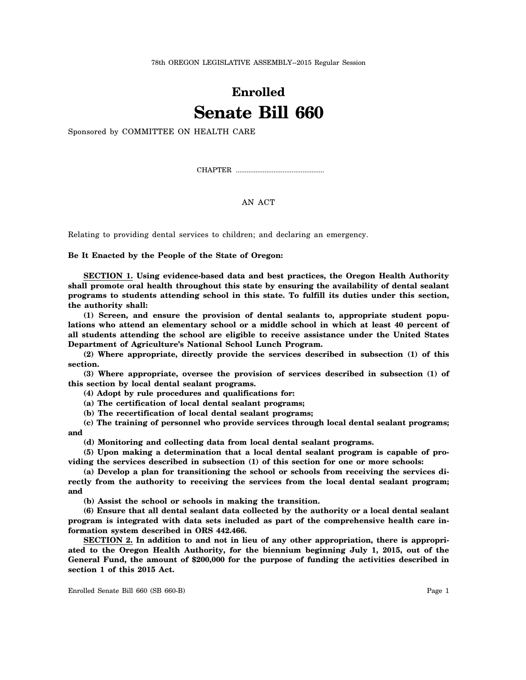78th OREGON LEGISLATIVE ASSEMBLY--2015 Regular Session

## **Enrolled Senate Bill 660**

Sponsored by COMMITTEE ON HEALTH CARE

CHAPTER .................................................

## AN ACT

Relating to providing dental services to children; and declaring an emergency.

**Be It Enacted by the People of the State of Oregon:**

**SECTION 1. Using evidence-based data and best practices, the Oregon Health Authority shall promote oral health throughout this state by ensuring the availability of dental sealant programs to students attending school in this state. To fulfill its duties under this section, the authority shall:**

**(1) Screen, and ensure the provision of dental sealants to, appropriate student populations who attend an elementary school or a middle school in which at least 40 percent of all students attending the school are eligible to receive assistance under the United States Department of Agriculture's National School Lunch Program.**

**(2) Where appropriate, directly provide the services described in subsection (1) of this section.**

**(3) Where appropriate, oversee the provision of services described in subsection (1) of this section by local dental sealant programs.**

**(4) Adopt by rule procedures and qualifications for:**

**(a) The certification of local dental sealant programs;**

**(b) The recertification of local dental sealant programs;**

**(c) The training of personnel who provide services through local dental sealant programs; and**

**(d) Monitoring and collecting data from local dental sealant programs.**

**(5) Upon making a determination that a local dental sealant program is capable of providing the services described in subsection (1) of this section for one or more schools:**

**(a) Develop a plan for transitioning the school or schools from receiving the services directly from the authority to receiving the services from the local dental sealant program; and**

**(b) Assist the school or schools in making the transition.**

**(6) Ensure that all dental sealant data collected by the authority or a local dental sealant program is integrated with data sets included as part of the comprehensive health care information system described in ORS 442.466.**

**SECTION 2. In addition to and not in lieu of any other appropriation, there is appropriated to the Oregon Health Authority, for the biennium beginning July 1, 2015, out of the General Fund, the amount of \$200,000 for the purpose of funding the activities described in section 1 of this 2015 Act.**